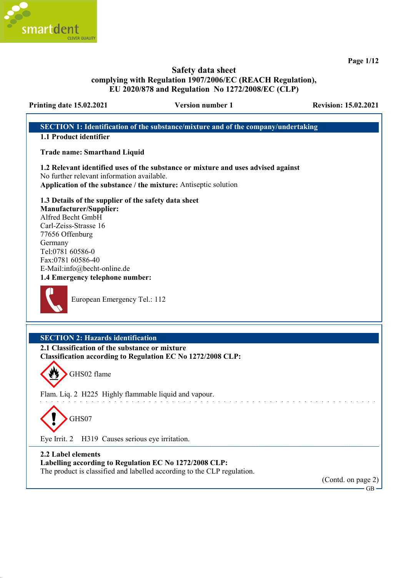

Page 1/12

## Safety data sheet complying with Regulation 1907/2006/EC (REACH Regulation), EU 2020/878 and Regulation No 1272/2008/EC (CLP)

## Printing date 15.02.2021 Version number 1 Revision: 15.02.2021

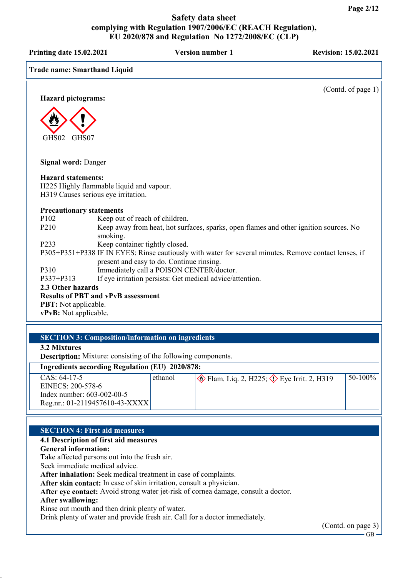Printing date 15.02.2021 Version number 1 Revision: 15.02.2021

## Trade name: Smarthand Liquid

(Contd. of page 1)

Hazard pictograms:



Signal word: Danger

#### Hazard statements:

H225 Highly flammable liquid and vapour. H319 Causes serious eye irritation.

#### Precautionary statements

| P <sub>102</sub>                          | Keep out of reach of children.                                                                        |  |
|-------------------------------------------|-------------------------------------------------------------------------------------------------------|--|
| P <sub>2</sub> 10                         | Keep away from heat, hot surfaces, sparks, open flames and other ignition sources. No                 |  |
|                                           | smoking.                                                                                              |  |
| P <sub>2</sub> 33                         | Keep container tightly closed.                                                                        |  |
|                                           | P305+P351+P338 IF IN EYES: Rinse cautiously with water for several minutes. Remove contact lenses, if |  |
|                                           | present and easy to do. Continue rinsing.                                                             |  |
| P310                                      | Immediately call a POISON CENTER/doctor.                                                              |  |
| P337+P313                                 | If eye irritation persists: Get medical advice/attention.                                             |  |
| 2.3 Other hazards                         |                                                                                                       |  |
| <b>Results of PBT and vPvB assessment</b> |                                                                                                       |  |
| <b>PBT:</b> Not applicable.               |                                                                                                       |  |

vPvB: Not applicable.

## SECTION 3: Composition/information on ingredients

3.2 Mixtures

Description: Mixture: consisting of the following components.

## Ingredients according Regulation (EU) 2020/878:

| $CAS: 64-17-5$                 | ethanol | $\otimes$ Flam. Liq. 2, H225; $\otimes$ Eye Irrit. 2, H319 | $ 50-100\% $ |
|--------------------------------|---------|------------------------------------------------------------|--------------|
| EINECS: 200-578-6              |         |                                                            |              |
| Index number: $603-002-00-5$   |         |                                                            |              |
| Reg.nr.: 01-2119457610-43-XXXX |         |                                                            |              |

#### SECTION 4: First aid measures

#### 4.1 Description of first aid measures

#### General information:

Take affected persons out into the fresh air.

Seek immediate medical advice.

After inhalation: Seek medical treatment in case of complaints.

After skin contact: In case of skin irritation, consult a physician.

After eye contact: Avoid strong water jet-risk of cornea damage, consult a doctor.

## After swallowing:

Rinse out mouth and then drink plenty of water.

Drink plenty of water and provide fresh air. Call for a doctor immediately.

(Contd. on page 3)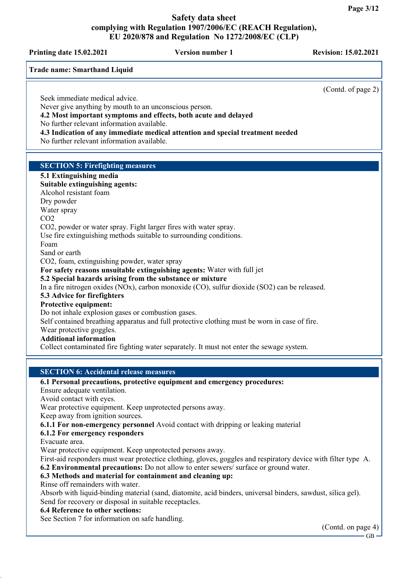Printing date 15.02.2021 Version number 1 Revision: 15.02.2021

(Contd. of page 2)

Trade name: Smarthand Liquid

Seek immediate medical advice.

Never give anything by mouth to an unconscious person.

4.2 Most important symptoms and effects, both acute and delayed

No further relevant information available.

4.3 Indication of any immediate medical attention and special treatment needed

No further relevant information available.

## SECTION 5: Firefighting measures

#### 5.1 Extinguishing media Suitable extinguishing agents: Alcohol resistant foam Dry powder Water spray CO2 CO2, powder or water spray. Fight larger fires with water spray. Use fire extinguishing methods suitable to surrounding conditions. Foam Sand or earth CO2, foam, extinguishing powder, water spray For safety reasons unsuitable extinguishing agents: Water with full jet 5.2 Special hazards arising from the substance or mixture In a fire nitrogen oxides (NOx), carbon monoxide (CO), sulfur dioxide (SO2) can be released. 5.3 Advice for firefighters Protective equipment: Do not inhale explosion gases or combustion gases. Self contained breathing apparatus and full protective clothing must be worn in case of fire. Wear protective goggles. Additional information Collect contaminated fire fighting water separately. It must not enter the sewage system.

#### SECTION 6: Accidental release measures

#### 6.1 Personal precautions, protective equipment and emergency procedures:

Ensure adequate ventilation.

Avoid contact with eyes.

Wear protective equipment. Keep unprotected persons away.

Keep away from ignition sources.

6.1.1 For non-emergency personnel Avoid contact with dripping or leaking material

## 6.1.2 For emergency responders

Evacuate area.

Wear protective equipment. Keep unprotected persons away.

First-aid responders must wear protectice clothing, gloves, goggles and respiratory device with filter type A. 6.2 Environmental precautions: Do not allow to enter sewers/ surface or ground water.

## 6.3 Methods and material for containment and cleaning up:

Rinse off remainders with water.

Absorb with liquid-binding material (sand, diatomite, acid binders, universal binders, sawdust, silica gel). Send for recovery or disposal in suitable receptacles.

#### 6.4 Reference to other sections:

See Section 7 for information on safe handling.

(Contd. on page 4)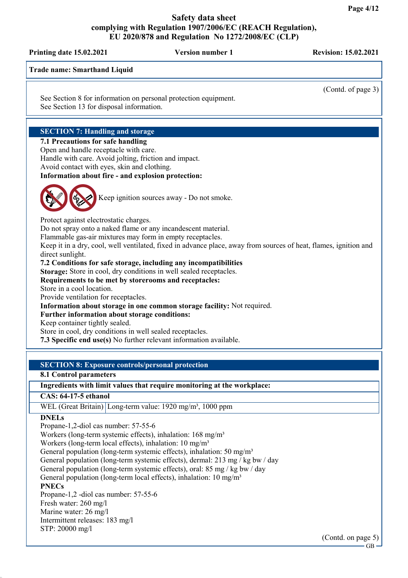Printing date 15.02.2021 Version number 1 Revision: 15.02.2021 Trade name: Smarthand Liquid (Contd. of page 3) See Section 8 for information on personal protection equipment. See Section 13 for disposal information. SECTION 7: Handling and storage 7.1 Precautions for safe handling Open and handle receptacle with care. Handle with care. Avoid jolting, friction and impact. Avoid contact with eyes, skin and clothing. Information about fire - and explosion protection: Keep ignition sources away - Do not smoke. Protect against electrostatic charges. Do not spray onto a naked flame or any incandescent material. Flammable gas-air mixtures may form in empty receptacles. Keep it in a dry, cool, well ventilated, fixed in advance place, away from sources of heat, flames, ignition and direct sunlight. 7.2 Conditions for safe storage, including any incompatibilities Storage: Store in cool, dry conditions in well sealed receptacles. Requirements to be met by storerooms and receptacles: Store in a cool location. Provide ventilation for receptacles. Information about storage in one common storage facility: Not required. Further information about storage conditions: Keep container tightly sealed. Store in cool, dry conditions in well sealed receptacles. 7.3 Specific end use(s) No further relevant information available. SECTION 8: Exposure controls/personal protection 8.1 Control parameters Ingredients with limit values that require monitoring at the workplace: CAS: 64-17-5 ethanol

WEL (Great Britain) Long-term value: 1920 mg/m<sup>3</sup>, 1000 ppm

#### **DNELs**

Propane-1,2-diol cas number: 57-55-6

Workers (long-term systemic effects), inhalation: 168 mg/m<sup>3</sup>

Workers (long-term local effects), inhalation:  $10 \text{ mg/m}^3$ 

General population (long-term systemic effects), inhalation: 50 mg/m<sup>3</sup>

General population (long-term systemic effects), dermal: 213 mg / kg bw / day

General population (long-term systemic effects), oral: 85 mg / kg bw / day

General population (long-term local effects), inhalation:  $10 \text{ mg/m}^3$ 

#### **PNECs**

Propane-1,2 -diol cas number: 57-55-6 Fresh water: 260 mg/l Marine water: 26 mg/l Intermittent releases: 183 mg/l STP: 20000 mg/l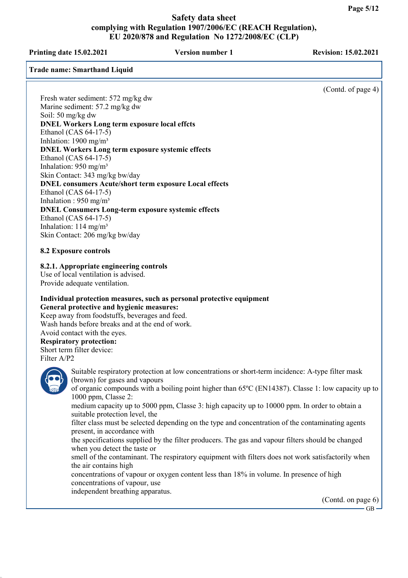Printing date 15.02.2021 Version number 1 Revision: 15.02.2021

Trade name: Smarthand Liquid

(Contd. of page 4)

Fresh water sediment: 572 mg/kg dw Marine sediment: 57.2 mg/kg dw Soil: 50 mg/kg dw DNEL Workers Long term exposure local effcts Ethanol (CAS 64-17-5) Inhlation:  $1900 \text{ mg/m}^3$ DNEL Workers Long term exposure systemic effects Ethanol (CAS 64-17-5) Inhalation: 950 mg/m³ Skin Contact: 343 mg/kg bw/day DNEL consumers Acute/short term exposure Local effects Ethanol (CAS 64-17-5) Inhalation :  $950$  mg/m<sup>3</sup> DNEL Consumers Long-term exposure systemic effects Ethanol (CAS 64-17-5) Inhalation:  $114 \text{ mg/m}^3$ Skin Contact: 206 mg/kg bw/day

8.2 Exposure controls

8.2.1. Appropriate engineering controls

Use of local ventilation is advised. Provide adequate ventilation.

## Individual protection measures, such as personal protective equipment General protective and hygienic measures:

Keep away from foodstuffs, beverages and feed. Wash hands before breaks and at the end of work. Avoid contact with the eyes.

# Respiratory protection:

Short term filter device: Filter A/P2



Suitable respiratory protection at low concentrations or short-term incidence: A-type filter mask (brown) for gases and vapours

of organic compounds with a boiling point higher than 65ºC (EN14387). Classe 1: low capacity up to 1000 ppm, Classe 2:

medium capacity up to 5000 ppm, Classe 3: high capacity up to 10000 ppm. In order to obtain a suitable protection level, the

filter class must be selected depending on the type and concentration of the contaminating agents present, in accordance with

the specifications supplied by the filter producers. The gas and vapour filters should be changed when you detect the taste or

smell of the contaminant. The respiratory equipment with filters does not work satisfactorily when the air contains high

concentrations of vapour or oxygen content less than 18% in volume. In presence of high concentrations of vapour, use

independent breathing apparatus.

(Contd. on page 6)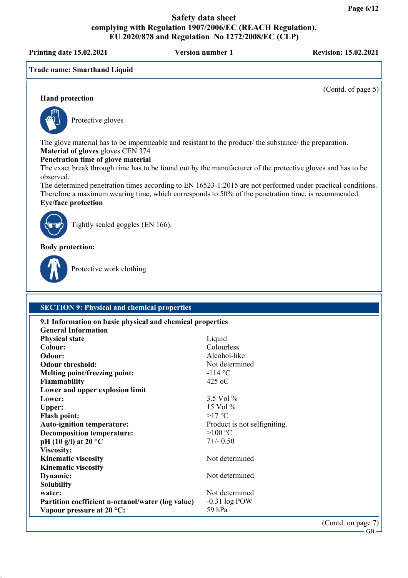Printing date 15.02.2021 Version number 1 Revision: 15.02.2021

Trade name: Smarthand Liquid

(Contd. of page 5)

## Hand protection



Protective gloves

The glove material has to be impermeable and resistant to the product/ the substance/ the preparation. Material of gloves gloves CEN 374

#### Penetration time of glove material

The exact break through time has to be found out by the manufacturer of the protective gloves and has to be observed.

The determined penetration times according to EN 16523-1:2015 are not performed under practical conditions. Therefore a maximum wearing time, which corresponds to 50% of the penetration time, is recommended. Eye/face protection



Tightly sealed goggles (EN 166).

Body protection:



Protective work clothing

## SECTION 9: Physical and chemical properties

| 9.1 Information on basic physical and chemical properties |                              |
|-----------------------------------------------------------|------------------------------|
| <b>General Information</b>                                |                              |
| <b>Physical state</b>                                     | Liquid                       |
| Colour:                                                   | Colourless                   |
| Odour:                                                    | Alcohol-like                 |
| <b>Odour threshold:</b>                                   | Not determined               |
| Melting point/freezing point:                             | $-114$ °C                    |
| <b>Flammability</b>                                       | $425$ oC                     |
| Lower and upper explosion limit                           |                              |
| Lower:                                                    | 3.5 Vol %                    |
| <b>Upper:</b>                                             | $15$ Vol $\%$                |
| <b>Flash point:</b>                                       | $>17$ °C                     |
| <b>Auto-ignition temperature:</b>                         | Product is not selfigniting. |
| <b>Decomposition temperature:</b>                         | $>100$ °C                    |
| pH (10 g/l) at 20 $^{\circ}$ C                            | $7+/- 0.50$                  |
| Viscosity:                                                |                              |
| <b>Kinematic viscosity</b>                                | Not determined               |
| <b>Kinematic viscosity</b>                                |                              |
| Dynamic:                                                  | Not determined               |
| <b>Solubility</b>                                         |                              |
| water:                                                    | Not determined               |
| Partition coefficient n-octanol/water (log value)         | $-0.31$ log POW              |
| Vapour pressure at $20^{\circ}$ C:                        | 59 hPa                       |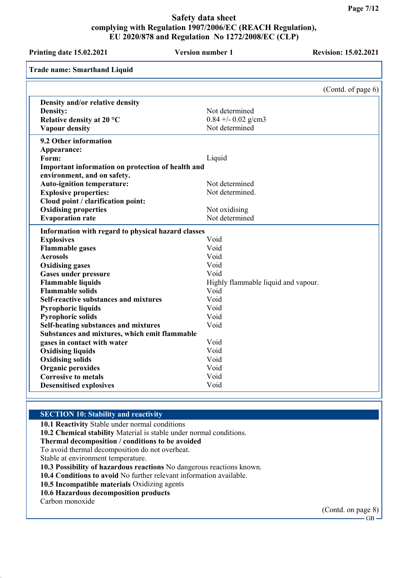| Printing date 15.02.2021                           | <b>Version number 1</b>             | <b>Revision: 15.02.2021</b> |
|----------------------------------------------------|-------------------------------------|-----------------------------|
| <b>Trade name: Smarthand Liquid</b>                |                                     |                             |
|                                                    |                                     | (Contd. of page 6)          |
| Density and/or relative density                    |                                     |                             |
| Density:                                           | Not determined                      |                             |
| Relative density at 20 °C                          | $0.84 + 0.02$ g/cm3                 |                             |
| <b>Vapour density</b>                              | Not determined                      |                             |
| 9.2 Other information                              |                                     |                             |
| Appearance:                                        |                                     |                             |
| Form:                                              | Liquid                              |                             |
| Important information on protection of health and  |                                     |                             |
| environment, and on safety.                        |                                     |                             |
| <b>Auto-ignition temperature:</b>                  | Not determined                      |                             |
| <b>Explosive properties:</b>                       | Not determined.                     |                             |
| Cloud point / clarification point:                 |                                     |                             |
| <b>Oxidising properties</b>                        | Not oxidising                       |                             |
| <b>Evaporation rate</b>                            | Not determined                      |                             |
| Information with regard to physical hazard classes |                                     |                             |
| <b>Explosives</b>                                  | Void                                |                             |
| <b>Flammable gases</b>                             | Void                                |                             |
| <b>Aerosols</b>                                    | Void                                |                             |
| <b>Oxidising gases</b>                             | Void                                |                             |
| <b>Gases under pressure</b>                        | Void                                |                             |
| <b>Flammable liquids</b>                           | Highly flammable liquid and vapour. |                             |
| <b>Flammable solids</b>                            | Void                                |                             |
| Self-reactive substances and mixtures              | Void                                |                             |
| <b>Pyrophoric liquids</b>                          | Void                                |                             |
| <b>Pyrophoric solids</b>                           | Void                                |                             |
| <b>Self-heating substances and mixtures</b>        | Void                                |                             |
| Substances and mixtures, which emit flammable      |                                     |                             |
| gases in contact with water                        | Void                                |                             |
| <b>Oxidising liquids</b>                           | Void                                |                             |
| <b>Oxidising solids</b>                            | Void                                |                             |
| <b>Organic peroxides</b>                           | Void                                |                             |
| <b>Corrosive to metals</b>                         | Void                                |                             |
| <b>Desensitised explosives</b>                     | Void                                |                             |

#### SECTION 10: Stability and reactivity

10.1 Reactivity Stable under normal conditions

10.2 Chemical stability Material is stable under normal conditions.

#### Thermal decomposition / conditions to be avoided

To avoid thermal decomposition do not overheat.

Stable at environment temperature.

10.3 Possibility of hazardous reactions No dangerous reactions known.

10.4 Conditions to avoid No further relevant information available.

10.5 Incompatible materials Oxidizing agents

10.6 Hazardous decomposition products

Carbon monoxide

(Contd. on page 8)

 $-GB -$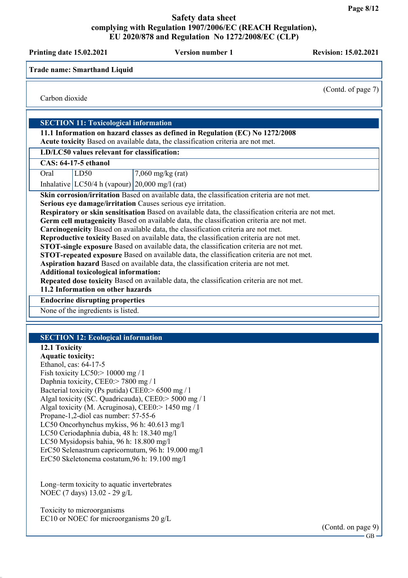Printing date 15.02.2021 Version number 1 Revision: 15.02.2021 Trade name: Smarthand Liquid (Contd. of page 7) Carbon dioxide SECTION 11: Toxicological information 11.1 Information on hazard classes as defined in Regulation (EC) No 1272/2008 Acute toxicity Based on available data, the classification criteria are not met. LD/LC50 values relevant for classification: CAS: 64-17-5 ethanol Oral [LD50 7,060 mg/kg (rat) Inhalative  $|LC50/4 h$  (vapour)  $|20,000 \text{ mg}/1 \text{ (rat)}$ Skin corrosion/irritation Based on available data, the classification criteria are not met. Serious eye damage/irritation Causes serious eye irritation. Respiratory or skin sensitisation Based on available data, the classification criteria are not met. Germ cell mutagenicity Based on available data, the classification criteria are not met. Carcinogenicity Based on available data, the classification criteria are not met. Reproductive toxicity Based on available data, the classification criteria are not met. STOT-single exposure Based on available data, the classification criteria are not met. STOT-repeated exposure Based on available data, the classification criteria are not met. Aspiration hazard Based on available data, the classification criteria are not met. Additional toxicological information: Repeated dose toxicity Based on available data, the classification criteria are not met. 11.2 Information on other hazards Endocrine disrupting properties None of the ingredients is listed. SECTION 12: Ecological information 12.1 Toxicity Aquatic toxicity: Ethanol, cas: 64-17-5 Fish toxicity LC50:> 10000 mg / 1 Daphnia toxicity, CEE0:> 7800 mg / l Bacterial toxicity (Ps putida) CEE0:> 6500 mg / l Algal toxicity (SC. Quadricauda), CEE0:> 5000 mg / l Algal toxicity (M. Acruginosa), CEE0:> 1450 mg / l Propane-1,2-diol cas number: 57-55-6 LC50 Oncorhynchus mykiss, 96 h: 40.613 mg/l LC50 Ceriodaphnia dubia, 48 h: 18.340 mg/l LC50 Mysidopsis bahia, 96 h: 18.800 mg/l ErC50 Selenastrum capricornutum, 96 h: 19.000 mg/l ErC50 Skeletonema costatum,96 h: 19.100 mg/l Long–term toxicity to aquatic invertebrates NOEC (7 days) 13.02 - 29 g/L Toxicity to microorganisms EC10 or NOEC for microorganisms 20 g/L

> (Contd. on page 9) GB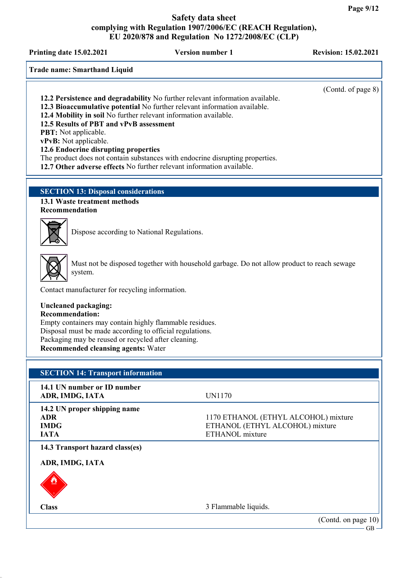Printing date 15.02.2021 Version number 1 Revision: 15.02.2021

Trade name: Smarthand Liquid

(Contd. of page 8)

12.2 Persistence and degradability No further relevant information available.

12.3 Bioaccumulative potential No further relevant information available.

12.4 Mobility in soil No further relevant information available.

12.5 Results of PBT and vPvB assessment

PBT: Not applicable.

vPvB: Not applicable.

12.6 Endocrine disrupting properties

The product does not contain substances with endocrine disrupting properties.

12.7 Other adverse effects No further relevant information available.

## SECTION 13: Disposal considerations

13.1 Waste treatment methods Recommendation



Dispose according to National Regulations.



Must not be disposed together with household garbage. Do not allow product to reach sewage system.

Contact manufacturer for recycling information.

## Uncleaned packaging:

Recommendation:

Empty containers may contain highly flammable residues. Disposal must be made according to official regulations. Packaging may be reused or recycled after cleaning. Recommended cleansing agents: Water

## SECTION 14: Transport information

| 14.1 UN number or ID number<br>ADR, IMDG, IATA                           | UN1170                                                                                     |
|--------------------------------------------------------------------------|--------------------------------------------------------------------------------------------|
| 14.2 UN proper shipping name<br><b>ADR</b><br><b>IMDG</b><br><b>IATA</b> | 1170 ETHANOL (ETHYL ALCOHOL) mixture<br>ETHANOL (ETHYL ALCOHOL) mixture<br>ETHANOL mixture |
| 14.3 Transport hazard class(es)                                          |                                                                                            |
| ADR, IMDG, IATA                                                          |                                                                                            |
| ♨                                                                        |                                                                                            |
| <b>Class</b>                                                             | 3 Flammable liquids.                                                                       |
|                                                                          | (Contd. on page 10)                                                                        |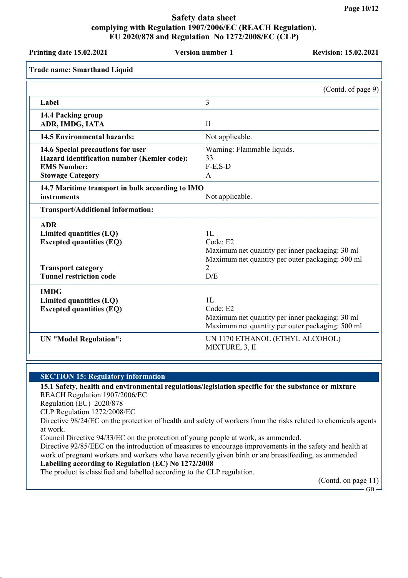| Printing date 15.02.2021                                                                                                                | <b>Version number 1</b>                                             | <b>Revision: 15.02.2021</b>                                                                         |
|-----------------------------------------------------------------------------------------------------------------------------------------|---------------------------------------------------------------------|-----------------------------------------------------------------------------------------------------|
| <b>Trade name: Smarthand Liquid</b>                                                                                                     |                                                                     |                                                                                                     |
|                                                                                                                                         |                                                                     | (Contd. of page 9)                                                                                  |
| Label                                                                                                                                   | 3                                                                   |                                                                                                     |
| 14.4 Packing group<br>ADR, IMDG, IATA                                                                                                   | $\mathbf{I}$                                                        |                                                                                                     |
| <b>14.5 Environmental hazards:</b>                                                                                                      | Not applicable.                                                     |                                                                                                     |
| 14.6 Special precautions for user<br>Hazard identification number (Kemler code):<br><b>EMS Number:</b><br><b>Stowage Category</b>       | Warning: Flammable liquids.<br>33<br>$F-E$ , $S-D$<br>$\mathbf{A}$  |                                                                                                     |
| 14.7 Maritime transport in bulk according to IMO<br>instruments                                                                         | Not applicable.                                                     |                                                                                                     |
| Transport/Additional information:                                                                                                       |                                                                     |                                                                                                     |
| <b>ADR</b><br>Limited quantities (LQ)<br><b>Excepted quantities (EQ)</b><br><b>Transport category</b><br><b>Tunnel restriction code</b> | 1L<br>Code: E2<br>2<br>D/E                                          | Maximum net quantity per inner packaging: 30 ml<br>Maximum net quantity per outer packaging: 500 ml |
| <b>IMDG</b><br>Limited quantities (LQ)<br><b>Excepted quantities (EQ)</b><br><b>UN</b> "Model Regulation":                              | 1L<br>Code: E2<br>UN 1170 ETHANOL (ETHYL ALCOHOL)<br>MIXTURE, 3, II | Maximum net quantity per inner packaging: 30 ml<br>Maximum net quantity per outer packaging: 500 ml |

#### SECTION 15: Regulatory information

#### 15.1 Safety, health and environmental regulations/legislation specific for the substance or mixture REACH Regulation 1907/2006/EC

Regulation (EU) 2020/878

CLP Regulation 1272/2008/EC

Directive 98/24/EC on the protection of health and safety of workers from the risks related to chemicals agents at work.

Council Directive 94/33/EC on the protection of young people at work, as ammended.

Directive 92/85/EEC on the introduction of measures to encourage improvements in the safety and health at work of pregnant workers and workers who have recently given birth or are breastfeeding, as ammended Labelling according to Regulation (EC) No 1272/2008

The product is classified and labelled according to the CLP regulation.

(Contd. on page 11)

 $-$  GB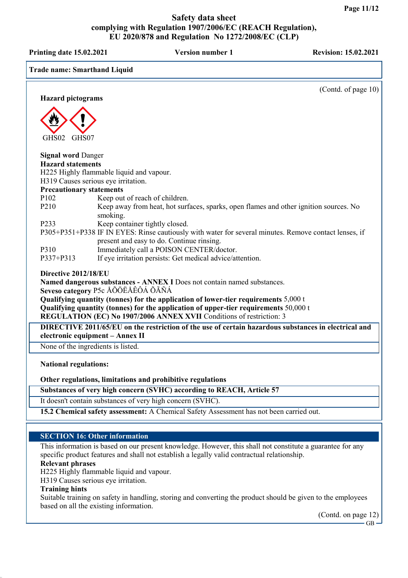Printing date 15.02.2021 Version number 1 Revision: 15.02.2021 Trade name: Smarthand Liquid (Contd. of page 10) Hazard pictograms GHS02 GHS07 Signal word Danger Hazard statements H225 Highly flammable liquid and vapour. H319 Causes serious eye irritation. Precautionary statements P102 Keep out of reach of children.<br>P210 Keep away from heat, hot surf Keep away from heat, hot surfaces, sparks, open flames and other ignition sources. No smoking. P233 Keep container tightly closed. P305+P351+P338 IF IN EYES: Rinse cautiously with water for several minutes. Remove contact lenses, if present and easy to do. Continue rinsing. P310 Immediately call a POISON CENTER/doctor. P337+P313 If eye irritation persists: Get medical advice/attention. Directive 2012/18/EU Named dangerous substances - ANNEX I Does not contain named substances. Seveso category P5c ÅÕÖËÅÊÔÁ ÕÃÑÁ Qualifying quantity (tonnes) for the application of lower-tier requirements 5,000 t Qualifying quantity (tonnes) for the application of upper-tier requirements 50,000 t REGULATION (EC) No 1907/2006 ANNEX XVII Conditions of restriction: 3 DIRECTIVE 2011/65/EU on the restriction of the use of certain hazardous substances in electrical and electronic equipment – Annex II None of the ingredients is listed. National regulations: Other regulations, limitations and prohibitive regulations Substances of very high concern (SVHC) according to REACH, Article 57 It doesn't contain substances of very high concern (SVHC). 15.2 Chemical safety assessment: A Chemical Safety Assessment has not been carried out. SECTION 16: Other information This information is based on our present knowledge. However, this shall not constitute a guarantee for any specific product features and shall not establish a legally valid contractual relationship. Relevant phrases H225 Highly flammable liquid and vapour.

H319 Causes serious eye irritation.

#### Training hints

Suitable training on safety in handling, storing and converting the product should be given to the employees based on all the existing information.

(Contd. on page 12)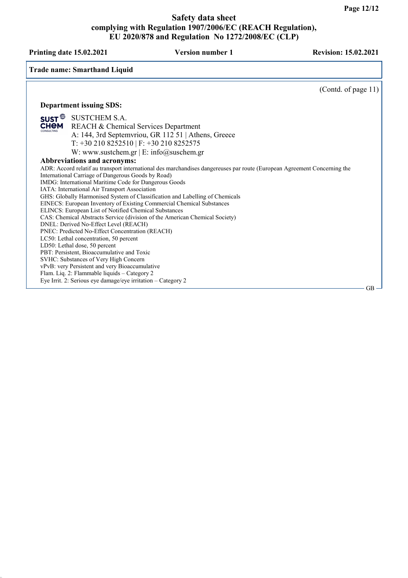Printing date 15.02.2021 Version number 1 Revision: 15.02.2021

Trade name: Smarthand Liquid

Department issuing SDS: **SUST**<sup>©</sup> SUSTCHEM S.A. **CHEM** REACH & Chemical Services Department A: 144, 3rd Septemvriou, GR 112 51 | Athens, Greece T: +30 210 8252510 | F: +30 210 8252575 W: www.sustchem.gr  $\vert$  E: info@suschem.gr Abbreviations and acronyms: ADR: Accord relatif au transport international des marchandises dangereuses par route (European Agreement Concerning the International Carriage of Dangerous Goods by Road) IMDG: International Maritime Code for Dangerous Goods IATA: International Air Transport Association GHS: Globally Harmonised System of Classification and Labelling of Chemicals EINECS: European Inventory of Existing Commercial Chemical Substances ELINCS: European List of Notified Chemical Substances CAS: Chemical Abstracts Service (division of the American Chemical Society) DNEL: Derived No-Effect Level (REACH) PNEC: Predicted No-Effect Concentration (REACH) LC50: Lethal concentration, 50 percent LD50: Lethal dose, 50 percent

PBT: Persistent, Bioaccumulative and Toxic SVHC: Substances of Very High Concern

vPvB: very Persistent and very Bioaccumulative Flam. Liq. 2: Flammable liquids – Category 2

Eye Irrit. 2: Serious eye damage/eye irritation – Category 2

(Contd. of page 11)

GB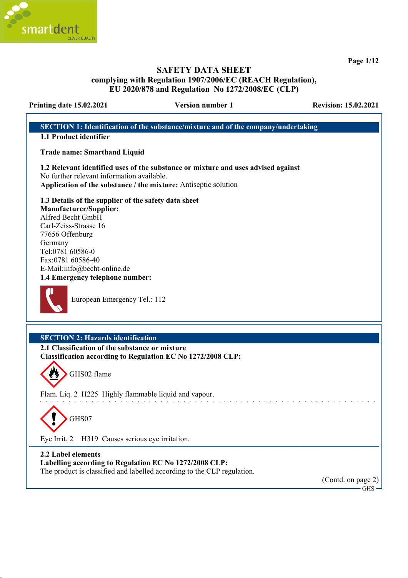

Page 1/12

## SAFETY DATA SHEET complying with Regulation 1907/2006/EC (REACH Regulation), EU 2020/878 and Regulation No 1272/2008/EC (CLP)

#### Printing date 15.02.2021 Version number 1 Revision: 15.02.2021

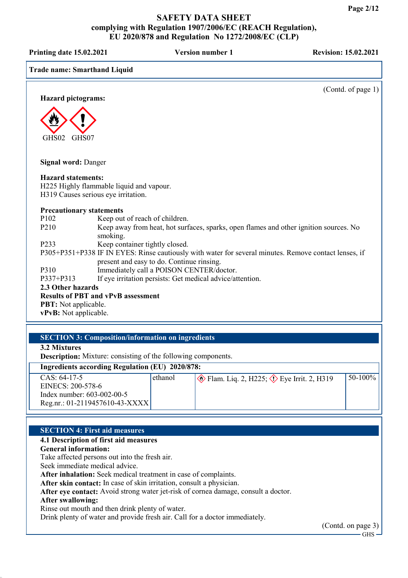Printing date 15.02.2021 Version number 1 Revision: 15.02.2021

| 111111111114 uate 19.02.2021        |                                                                                 |                                                                                                       |
|-------------------------------------|---------------------------------------------------------------------------------|-------------------------------------------------------------------------------------------------------|
| <b>Trade name: Smarthand Liquid</b> |                                                                                 |                                                                                                       |
| <b>Hazard pictograms:</b>           |                                                                                 | (Contd. of page 1)                                                                                    |
|                                     |                                                                                 |                                                                                                       |
| GHS02<br>GHS07                      |                                                                                 |                                                                                                       |
|                                     |                                                                                 |                                                                                                       |
| <b>Signal word: Danger</b>          |                                                                                 |                                                                                                       |
| <b>Hazard statements:</b>           | H225 Highly flammable liquid and vapour.<br>H319 Causes serious eye irritation. |                                                                                                       |
| <b>Precautionary statements</b>     |                                                                                 |                                                                                                       |
| P102                                | Keep out of reach of children.                                                  |                                                                                                       |
| P <sub>2</sub> 10                   | smoking.                                                                        | Keep away from heat, hot surfaces, sparks, open flames and other ignition sources. No                 |
| P233                                | Keep container tightly closed.                                                  |                                                                                                       |
|                                     |                                                                                 | P305+P351+P338 IF IN EYES: Rinse cautiously with water for several minutes. Remove contact lenses, if |
|                                     | present and easy to do. Continue rinsing.                                       |                                                                                                       |
| P310                                | Immediately call a POISON CENTER/doctor.                                        |                                                                                                       |
| P337+P313                           | If eye irritation persists: Get medical advice/attention.                       |                                                                                                       |
| 2.3 Other hazards                   |                                                                                 |                                                                                                       |
|                                     | <b>Results of PBT and vPvB assessment</b>                                       |                                                                                                       |
| <b>PBT:</b> Not applicable.         |                                                                                 |                                                                                                       |
| vPvB: Not applicable.               |                                                                                 |                                                                                                       |
|                                     |                                                                                 |                                                                                                       |

## SECTION 3: Composition/information on ingredients

3.2 Mixtures

Description: Mixture: consisting of the following components.

## Ingredients according Regulation (EU) 2020/878:

| $\overline{\phantom{a}}$       |         |                                                            |            |
|--------------------------------|---------|------------------------------------------------------------|------------|
| $CAS: 64-17-5$                 | ethanol | $\otimes$ Flam. Liq. 2, H225; $\otimes$ Eye Irrit. 2, H319 | $50-100\%$ |
| EINECS: 200-578-6              |         |                                                            |            |
| Index number: $603-002-00-5$   |         |                                                            |            |
| Reg.nr.: 01-2119457610-43-XXXX |         |                                                            |            |

#### SECTION 4: First aid measures

#### 4.1 Description of first aid measures

General information:

Take affected persons out into the fresh air.

Seek immediate medical advice.

After inhalation: Seek medical treatment in case of complaints.

After skin contact: In case of skin irritation, consult a physician.

After eye contact: Avoid strong water jet-risk of cornea damage, consult a doctor.

## After swallowing:

Rinse out mouth and then drink plenty of water.

Drink plenty of water and provide fresh air. Call for a doctor immediately.

(Contd. on page 3)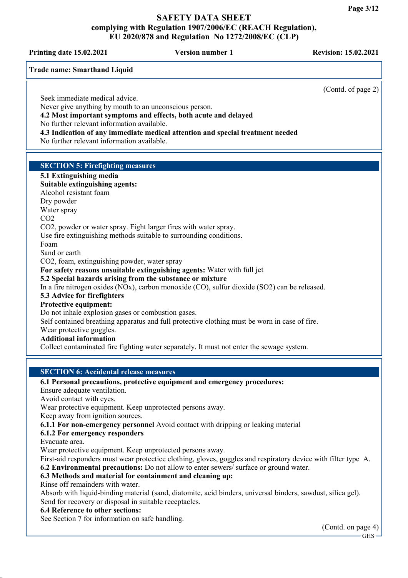Printing date 15.02.2021 Version number 1 Revision: 15.02.2021

(Contd. of page 2)

Trade name: Smarthand Liquid

Seek immediate medical advice.

Never give anything by mouth to an unconscious person.

4.2 Most important symptoms and effects, both acute and delayed

No further relevant information available.

4.3 Indication of any immediate medical attention and special treatment needed

No further relevant information available.

## SECTION 5: Firefighting measures

#### 5.1 Extinguishing media Suitable extinguishing agents: Alcohol resistant foam Dry powder Water spray CO2 CO2, powder or water spray. Fight larger fires with water spray. Use fire extinguishing methods suitable to surrounding conditions. Foam Sand or earth CO2, foam, extinguishing powder, water spray For safety reasons unsuitable extinguishing agents: Water with full jet 5.2 Special hazards arising from the substance or mixture In a fire nitrogen oxides (NOx), carbon monoxide (CO), sulfur dioxide (SO2) can be released. 5.3 Advice for firefighters Protective equipment: Do not inhale explosion gases or combustion gases. Self contained breathing apparatus and full protective clothing must be worn in case of fire. Wear protective goggles. Additional information Collect contaminated fire fighting water separately. It must not enter the sewage system.

#### SECTION 6: Accidental release measures

#### 6.1 Personal precautions, protective equipment and emergency procedures:

Ensure adequate ventilation.

Avoid contact with eyes.

Wear protective equipment. Keep unprotected persons away.

Keep away from ignition sources.

6.1.1 For non-emergency personnel Avoid contact with dripping or leaking material

## 6.1.2 For emergency responders

Evacuate area.

Wear protective equipment. Keep unprotected persons away.

First-aid responders must wear protectice clothing, gloves, goggles and respiratory device with filter type A. 6.2 Environmental precautions: Do not allow to enter sewers/ surface or ground water.

## 6.3 Methods and material for containment and cleaning up:

Rinse off remainders with water.

Absorb with liquid-binding material (sand, diatomite, acid binders, universal binders, sawdust, silica gel). Send for recovery or disposal in suitable receptacles.

#### 6.4 Reference to other sections:

See Section 7 for information on safe handling.

(Contd. on page 4) GHS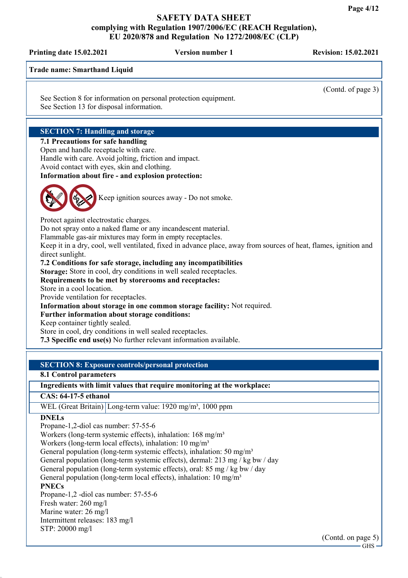Printing date 15.02.2021 Version number 1 Revision: 15.02.2021 Trade name: Smarthand Liquid (Contd. of page 3) See Section 8 for information on personal protection equipment. See Section 13 for disposal information. SECTION 7: Handling and storage 7.1 Precautions for safe handling Open and handle receptacle with care. Handle with care. Avoid jolting, friction and impact. Avoid contact with eyes, skin and clothing. Information about fire - and explosion protection: Keep ignition sources away - Do not smoke. Protect against electrostatic charges. Do not spray onto a naked flame or any incandescent material. Flammable gas-air mixtures may form in empty receptacles. Keep it in a dry, cool, well ventilated, fixed in advance place, away from sources of heat, flames, ignition and direct sunlight. 7.2 Conditions for safe storage, including any incompatibilities Storage: Store in cool, dry conditions in well sealed receptacles. Requirements to be met by storerooms and receptacles: Store in a cool location. Provide ventilation for receptacles. Information about storage in one common storage facility: Not required. Further information about storage conditions: Keep container tightly sealed. Store in cool, dry conditions in well sealed receptacles. 7.3 Specific end use(s) No further relevant information available. SECTION 8: Exposure controls/personal protection 8.1 Control parameters Ingredients with limit values that require monitoring at the workplace: CAS: 64-17-5 ethanol WEL (Great Britain) Long-term value: 1920 mg/m<sup>3</sup>, 1000 ppm **DNELs** Propane-1,2-diol cas number: 57-55-6 Workers (long-term systemic effects), inhalation: 168 mg/m<sup>3</sup> Workers (long-term local effects), inhalation:  $10 \text{ mg/m}^3$ General population (long-term systemic effects), inhalation: 50 mg/m<sup>3</sup> General population (long-term systemic effects), dermal: 213 mg / kg bw / day

General population (long-term systemic effects), oral: 85 mg / kg bw / day

General population (long-term local effects), inhalation:  $10 \text{ mg/m}^3$ 

## **PNECs**

Propane-1,2 -diol cas number: 57-55-6 Fresh water: 260 mg/l Marine water: 26 mg/l Intermittent releases: 183 mg/l STP: 20000 mg/l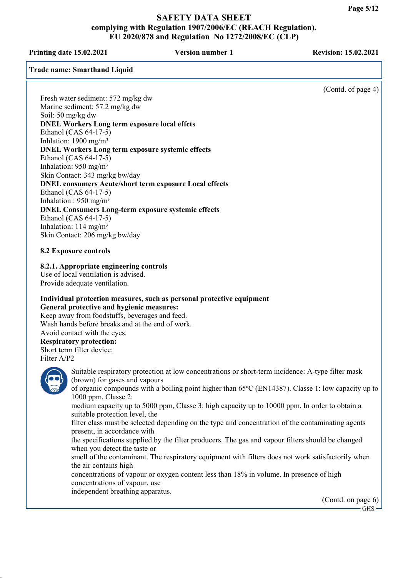Printing date 15.02.2021 Version number 1 Revision: 15.02.2021

Trade name: Smarthand Liquid

(Contd. of page 4)

Fresh water sediment: 572 mg/kg dw Marine sediment: 57.2 mg/kg dw Soil: 50 mg/kg dw DNEL Workers Long term exposure local effcts Ethanol (CAS 64-17-5) Inhlation:  $1900 \text{ mg/m}^3$ DNEL Workers Long term exposure systemic effects Ethanol (CAS 64-17-5) Inhalation: 950 mg/m³ Skin Contact: 343 mg/kg bw/day DNEL consumers Acute/short term exposure Local effects Ethanol (CAS 64-17-5) Inhalation :  $950$  mg/m<sup>3</sup> DNEL Consumers Long-term exposure systemic effects Ethanol (CAS 64-17-5) Inhalation:  $114 \text{ mg/m}^3$ 

8.2 Exposure controls

8.2.1. Appropriate engineering controls

Use of local ventilation is advised. Provide adequate ventilation.

Skin Contact: 206 mg/kg bw/day

## Individual protection measures, such as personal protective equipment General protective and hygienic measures:

Keep away from foodstuffs, beverages and feed. Wash hands before breaks and at the end of work. Avoid contact with the eyes.

# Respiratory protection:

Short term filter device: Filter A/P2



Suitable respiratory protection at low concentrations or short-term incidence: A-type filter mask (brown) for gases and vapours

of organic compounds with a boiling point higher than 65ºC (EN14387). Classe 1: low capacity up to 1000 ppm, Classe 2:

medium capacity up to 5000 ppm, Classe 3: high capacity up to 10000 ppm. In order to obtain a suitable protection level, the

filter class must be selected depending on the type and concentration of the contaminating agents present, in accordance with

the specifications supplied by the filter producers. The gas and vapour filters should be changed when you detect the taste or

smell of the contaminant. The respiratory equipment with filters does not work satisfactorily when the air contains high

concentrations of vapour or oxygen content less than 18% in volume. In presence of high concentrations of vapour, use

independent breathing apparatus.

(Contd. on page 6)

GHS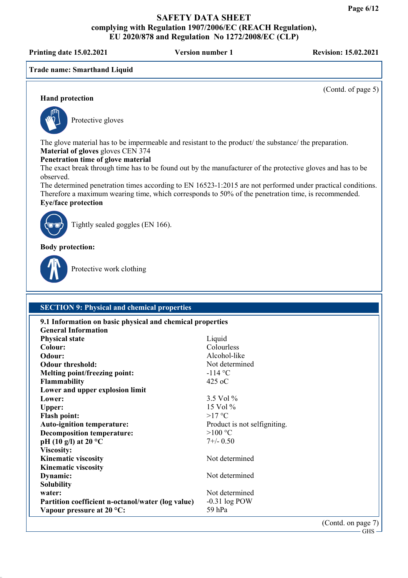Printing date 15.02.2021 Version number 1 Revision: 15.02.2021

Trade name: Smarthand Liquid

(Contd. of page 5)

## Hand protection



Protective gloves

The glove material has to be impermeable and resistant to the product/ the substance/ the preparation. Material of gloves gloves CEN 374

#### Penetration time of glove material

The exact break through time has to be found out by the manufacturer of the protective gloves and has to be observed.

The determined penetration times according to EN 16523-1:2015 are not performed under practical conditions. Therefore a maximum wearing time, which corresponds to 50% of the penetration time, is recommended. Eye/face protection



Tightly sealed goggles (EN 166).

Body protection:



Protective work clothing

## SECTION 9: Physical and chemical properties

| 9.1 Information on basic physical and chemical properties |                              |  |
|-----------------------------------------------------------|------------------------------|--|
| <b>General Information</b>                                |                              |  |
| <b>Physical state</b>                                     | Liquid                       |  |
| Colour:                                                   | Colourless                   |  |
| Odour:                                                    | Alcohol-like                 |  |
| <b>Odour threshold:</b>                                   | Not determined               |  |
| <b>Melting point/freezing point:</b>                      | $-114$ °C                    |  |
| <b>Flammability</b>                                       | $425$ oC                     |  |
| Lower and upper explosion limit                           |                              |  |
| Lower:                                                    | 3.5 Vol %                    |  |
| <b>Upper:</b>                                             | 15 Vol $\%$                  |  |
| <b>Flash point:</b>                                       | $>17$ °C                     |  |
| <b>Auto-ignition temperature:</b>                         | Product is not selfigniting. |  |
| <b>Decomposition temperature:</b>                         | $>100$ °C                    |  |
| pH (10 g/l) at 20 $^{\circ}$ C                            | $7+/-$ 0.50                  |  |
| Viscosity:                                                |                              |  |
| <b>Kinematic viscosity</b>                                | Not determined               |  |
| <b>Kinematic viscosity</b>                                |                              |  |
| Dynamic:                                                  | Not determined               |  |
| <b>Solubility</b>                                         |                              |  |
| water:                                                    | Not determined               |  |
| Partition coefficient n-octanol/water (log value)         | $-0.31$ log POW              |  |
| Vapour pressure at $20^{\circ}$ C:                        | 59 hPa                       |  |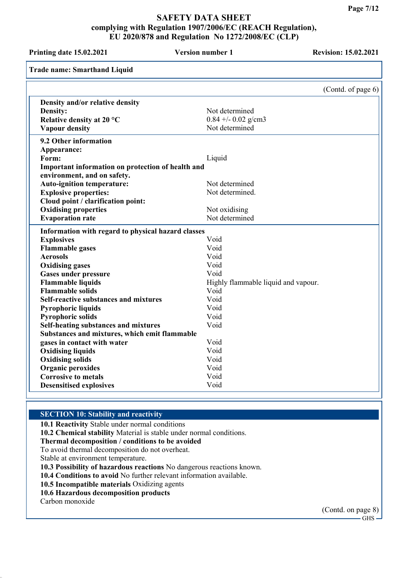Printing date 15.02.2021 Version number 1 Revision: 15.02.2021 Trade name: Smarthand Liquid (Contd. of page 6) Density and/or relative density Density: Not determined Relative density at 20 °C 0.84 +/- 0.02 g/cm3 Vapour density Not determined 9.2 Other information Appearance: Form: Liquid Important information on protection of health and environment, and on safety. Auto-ignition temperature: Not determined Explosive properties: Not determined. Cloud point / clarification point: Oxidising properties<br>
Evanoration rate<br>
Not determined Evaporation rate Information with regard to physical hazard classes Explosives Void Flammable gases Void Aerosols Void Oxidising gases Void Gases under pressure Void Flammable liquids **Flammable liquid and vapour.** Highly flammable liquid and vapour. Flammable solids Void Self-reactive substances and mixtures Void Pyrophoric liquids Void Pyrophoric solids Void Self-heating substances and mixtures Void Substances and mixtures, which emit flammable gases in contact with water void Oxidising liquids Void Oxidising solids Void Organic peroxides Void Corrosive to metals Void Desensitised explosives Void

#### SECTION 10: Stability and reactivity

10.1 Reactivity Stable under normal conditions

10.2 Chemical stability Material is stable under normal conditions.

## Thermal decomposition / conditions to be avoided

To avoid thermal decomposition do not overheat.

Stable at environment temperature.

10.3 Possibility of hazardous reactions No dangerous reactions known.

10.4 Conditions to avoid No further relevant information available.

10.5 Incompatible materials Oxidizing agents

10.6 Hazardous decomposition products

Carbon monoxide

(Contd. on page 8)  $-GHS -$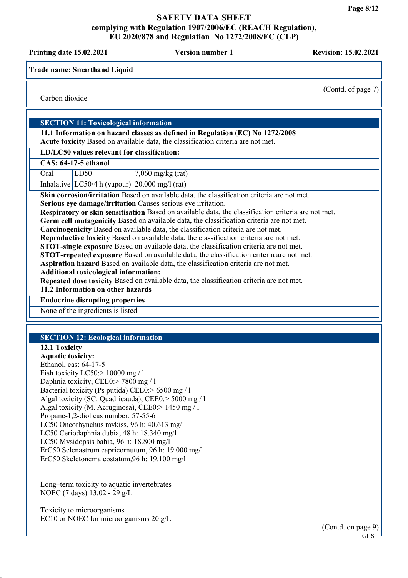Printing date 15.02.2021 Version number 1 Revision: 15.02.2021

Trade name: Smarthand Liquid

(Contd. of page 7)

Carbon dioxide

## SECTION 11: Toxicological information

11.1 Information on hazard classes as defined in Regulation (EC) No 1272/2008 Acute toxicity Based on available data, the classification criteria are not met.

## LD/LC50 values relevant for classification:

| <b>CAS: 64-17-5 ethanol</b> |  |
|-----------------------------|--|

| Oral | LD50                                                 | $7,060$ mg/kg (rat) |
|------|------------------------------------------------------|---------------------|
|      | Inhalative $ LC50/4 h$ (vapour) $ 20,000$ mg/l (rat) |                     |

Skin corrosion/irritation Based on available data, the classification criteria are not met.

Serious eye damage/irritation Causes serious eye irritation.

Respiratory or skin sensitisation Based on available data, the classification criteria are not met.

Germ cell mutagenicity Based on available data, the classification criteria are not met.

Carcinogenicity Based on available data, the classification criteria are not met.

Reproductive toxicity Based on available data, the classification criteria are not met.

STOT-single exposure Based on available data, the classification criteria are not met.

STOT-repeated exposure Based on available data, the classification criteria are not met.

Aspiration hazard Based on available data, the classification criteria are not met.

Additional toxicological information:

Repeated dose toxicity Based on available data, the classification criteria are not met.

### 11.2 Information on other hazards

Endocrine disrupting properties

None of the ingredients is listed.

## SECTION 12: Ecological information

## 12.1 Toxicity

Aquatic toxicity: Ethanol, cas: 64-17-5 Fish toxicity LC50:> 10000 mg / l Daphnia toxicity, CEE0:> 7800 mg / l Bacterial toxicity (Ps putida) CEE0:> 6500 mg / l Algal toxicity (SC. Quadricauda), CEE0:> 5000 mg / l Algal toxicity (M. Acruginosa), CEE0:> 1450 mg / l Propane-1,2-diol cas number: 57-55-6 LC50 Oncorhynchus mykiss, 96 h: 40.613 mg/l LC50 Ceriodaphnia dubia, 48 h: 18.340 mg/l LC50 Mysidopsis bahia, 96 h: 18.800 mg/l ErC50 Selenastrum capricornutum, 96 h: 19.000 mg/l ErC50 Skeletonema costatum,96 h: 19.100 mg/l

Long–term toxicity to aquatic invertebrates NOEC (7 days) 13.02 - 29 g/L

Toxicity to microorganisms EC10 or NOEC for microorganisms 20 g/L

> (Contd. on page 9) GHS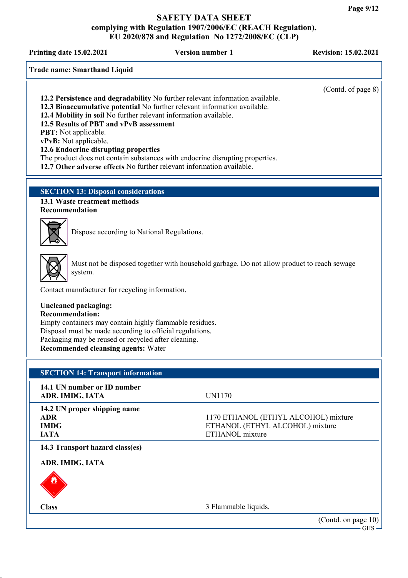Printing date 15.02.2021 Version number 1 Revision: 15.02.2021

Trade name: Smarthand Liquid

PBT: Not applicable. vPvB: Not applicable.

(Contd. of page 8) 12.2 Persistence and degradability No further relevant information available. 12.3 Bioaccumulative potential No further relevant information available. 12.4 Mobility in soil No further relevant information available. 12.5 Results of PBT and vPvB assessment 12.6 Endocrine disrupting properties The product does not contain substances with endocrine disrupting properties.

12.7 Other adverse effects No further relevant information available.

## SECTION 13: Disposal considerations

13.1 Waste treatment methods Recommendation



Dispose according to National Regulations.



Must not be disposed together with household garbage. Do not allow product to reach sewage system.

Contact manufacturer for recycling information.

## Uncleaned packaging:

Recommendation: Empty containers may contain highly flammable residues. Disposal must be made according to official regulations. Packaging may be reused or recycled after cleaning.

Recommended cleansing agents: Water

## SECTION 14: Transport information

| 14.1 UN number or ID number<br>ADR, IMDG, IATA                           | UN1170                                                                                     |
|--------------------------------------------------------------------------|--------------------------------------------------------------------------------------------|
| 14.2 UN proper shipping name<br><b>ADR</b><br><b>IMDG</b><br><b>IATA</b> | 1170 ETHANOL (ETHYL ALCOHOL) mixture<br>ETHANOL (ETHYL ALCOHOL) mixture<br>ETHANOL mixture |
| 14.3 Transport hazard class(es)<br>ADR, IMDG, IATA<br>U                  |                                                                                            |
| <b>Class</b>                                                             | 3 Flammable liquids.                                                                       |
|                                                                          | (Contd. on page 10)<br>$\text{GHz}$ –                                                      |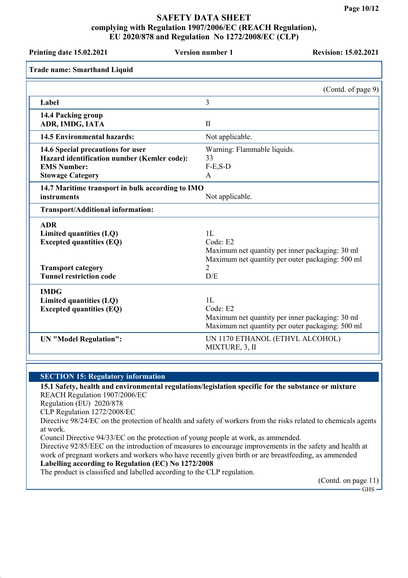| <b>Printing date 15.02.2021</b>                                                                                                         | <b>Version number 1</b>                                             | <b>Revision: 15.02.2021</b>                                                                         |
|-----------------------------------------------------------------------------------------------------------------------------------------|---------------------------------------------------------------------|-----------------------------------------------------------------------------------------------------|
| <b>Trade name: Smarthand Liquid</b>                                                                                                     |                                                                     |                                                                                                     |
|                                                                                                                                         |                                                                     | (Contd. of page 9)                                                                                  |
| Label                                                                                                                                   | 3                                                                   |                                                                                                     |
| 14.4 Packing group<br>ADR, IMDG, IATA                                                                                                   | $\mathbf{I}$                                                        |                                                                                                     |
| <b>14.5 Environmental hazards:</b>                                                                                                      | Not applicable.                                                     |                                                                                                     |
| 14.6 Special precautions for user<br>Hazard identification number (Kemler code):<br><b>EMS Number:</b><br><b>Stowage Category</b>       | Warning: Flammable liquids.<br>33<br>$F-E$ , $S-D$<br>$\mathsf{A}$  |                                                                                                     |
| 14.7 Maritime transport in bulk according to IMO<br>instruments                                                                         | Not applicable.                                                     |                                                                                                     |
| Transport/Additional information:                                                                                                       |                                                                     |                                                                                                     |
| <b>ADR</b><br>Limited quantities (LQ)<br><b>Excepted quantities (EQ)</b><br><b>Transport category</b><br><b>Tunnel restriction code</b> | 1L<br>Code: E2<br>2<br>D/E                                          | Maximum net quantity per inner packaging: 30 ml<br>Maximum net quantity per outer packaging: 500 ml |
| <b>IMDG</b><br>Limited quantities (LQ)<br><b>Excepted quantities (EQ)</b><br><b>UN "Model Regulation":</b>                              | 1L<br>Code: E2<br>UN 1170 ETHANOL (ETHYL ALCOHOL)<br>MIXTURE, 3, II | Maximum net quantity per inner packaging: 30 ml<br>Maximum net quantity per outer packaging: 500 ml |

#### SECTION 15: Regulatory information

#### 15.1 Safety, health and environmental regulations/legislation specific for the substance or mixture REACH Regulation 1907/2006/EC

Regulation (EU) 2020/878

CLP Regulation 1272/2008/EC

Directive 98/24/EC on the protection of health and safety of workers from the risks related to chemicals agents at work.

Council Directive 94/33/EC on the protection of young people at work, as ammended.

Directive 92/85/EEC on the introduction of measures to encourage improvements in the safety and health at work of pregnant workers and workers who have recently given birth or are breastfeeding, as ammended Labelling according to Regulation (EC) No 1272/2008

The product is classified and labelled according to the CLP regulation.

(Contd. on page 11)

 $-$  GHS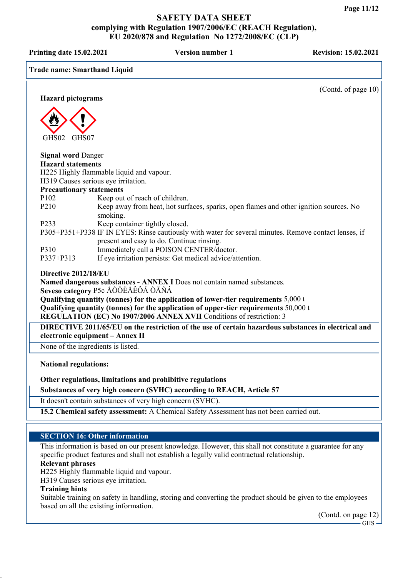Printing date 15.02.2021 Version number 1 Revision: 15.02.2021 Trade name: Smarthand Liquid (Contd. of page 10) Hazard pictograms GHS02 GHS07 Signal word Danger Hazard statements H225 Highly flammable liquid and vapour. H319 Causes serious eye irritation. Precautionary statements P102 Keep out of reach of children.<br>P210 Keep away from heat, hot surf Keep away from heat, hot surfaces, sparks, open flames and other ignition sources. No smoking. P233 Keep container tightly closed. P305+P351+P338 IF IN EYES: Rinse cautiously with water for several minutes. Remove contact lenses, if present and easy to do. Continue rinsing. P310 Immediately call a POISON CENTER/doctor. P337+P313 If eye irritation persists: Get medical advice/attention. Directive 2012/18/EU Named dangerous substances - ANNEX I Does not contain named substances. Seveso category P5c ÅÕÖËÅÊÔÁ ÕÃÑÁ Qualifying quantity (tonnes) for the application of lower-tier requirements  $5,000 \text{ t}$ Qualifying quantity (tonnes) for the application of upper-tier requirements 50,000 t REGULATION (EC) No 1907/2006 ANNEX XVII Conditions of restriction: 3 DIRECTIVE 2011/65/EU on the restriction of the use of certain hazardous substances in electrical and electronic equipment – Annex II None of the ingredients is listed. National regulations: Other regulations, limitations and prohibitive regulations Substances of very high concern (SVHC) according to REACH, Article 57 It doesn't contain substances of very high concern (SVHC). 15.2 Chemical safety assessment: A Chemical Safety Assessment has not been carried out. SECTION 16: Other information

This information is based on our present knowledge. However, this shall not constitute a guarantee for any specific product features and shall not establish a legally valid contractual relationship.

#### Relevant phrases

H225 Highly flammable liquid and vapour.

H319 Causes serious eye irritation.

#### Training hints

Suitable training on safety in handling, storing and converting the product should be given to the employees based on all the existing information.

(Contd. on page 12)